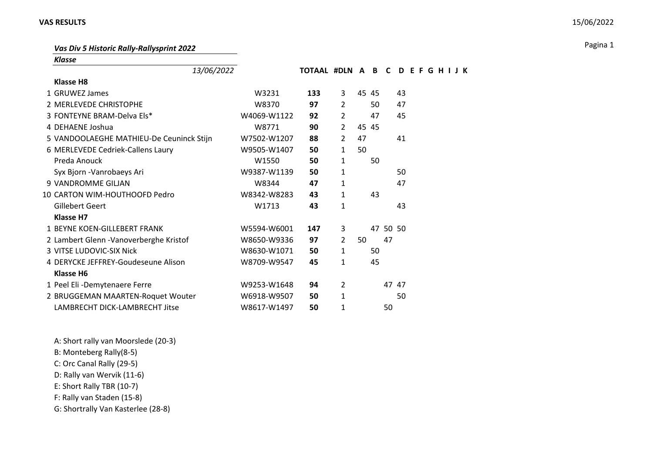## **VAS RESULTS** 15/06/2022

## Pagina 1 *Vas Div 5 Historic Rally-Rallysprint 2022*

*Klasse*

| 13/06/2022                               |             | TOTAAL #DLN A B C |                |    |       |          | DEFGHIJK |  |  |  |  |
|------------------------------------------|-------------|-------------------|----------------|----|-------|----------|----------|--|--|--|--|
| <b>Klasse H8</b>                         |             |                   |                |    |       |          |          |  |  |  |  |
| 1 GRUWEZ James                           | W3231       | 133               | 3              |    | 45 45 |          | 43       |  |  |  |  |
| 2 MERLEVEDE CHRISTOPHE                   | W8370       | 97                | $\overline{2}$ |    | 50    |          | 47       |  |  |  |  |
| 3 FONTEYNE BRAM-Delva Els*               | W4069-W1122 | 92                | $\overline{2}$ |    | 47    |          | 45       |  |  |  |  |
| 4 DEHAENE Joshua                         | W8771       | 90                | $\overline{2}$ |    | 45 45 |          |          |  |  |  |  |
| 5 VANDOOLAEGHE MATHIEU-De Ceuninck Stijn | W7502-W1207 | 88                | $\overline{2}$ | 47 |       |          | 41       |  |  |  |  |
| 6 MERLEVEDE Cedriek-Callens Laury        | W9505-W1407 | 50                | $\mathbf{1}$   | 50 |       |          |          |  |  |  |  |
| Preda Anouck                             | W1550       | 50                | $\mathbf{1}$   |    | 50    |          |          |  |  |  |  |
| Syx Bjorn - Vanrobaeys Ari               | W9387-W1139 | 50                | $\mathbf{1}$   |    |       |          | 50       |  |  |  |  |
| 9 VANDROMME GILIAN                       | W8344       | 47                | 1              |    |       |          | 47       |  |  |  |  |
| 10 CARTON WIM-HOUTHOOFD Pedro            | W8342-W8283 | 43                | $\mathbf{1}$   |    | 43    |          |          |  |  |  |  |
| Gillebert Geert                          | W1713       | 43                | $\mathbf{1}$   |    |       |          | 43       |  |  |  |  |
| <b>Klasse H7</b>                         |             |                   |                |    |       |          |          |  |  |  |  |
| 1 BEYNE KOEN-GILLEBERT FRANK             | W5594-W6001 | 147               | 3              |    |       | 47 50 50 |          |  |  |  |  |
| 2 Lambert Glenn - Vanoverberghe Kristof  | W8650-W9336 | 97                | $\overline{2}$ | 50 |       | 47       |          |  |  |  |  |
| 3 VITSE LUDOVIC-SIX Nick                 | W8630-W1071 | 50                | $\mathbf{1}$   |    | 50    |          |          |  |  |  |  |
| 4 DERYCKE JEFFREY-Goudeseune Alison      | W8709-W9547 | 45                | 1              |    | 45    |          |          |  |  |  |  |
| Klasse H6                                |             |                   |                |    |       |          |          |  |  |  |  |
| 1 Peel Eli -Demytenaere Ferre            | W9253-W1648 | 94                | $\overline{2}$ |    |       |          | 47 47    |  |  |  |  |
| 2 BRUGGEMAN MAARTEN-Roquet Wouter        | W6918-W9507 | 50                | $\mathbf{1}$   |    |       |          | 50       |  |  |  |  |
| LAMBRECHT DICK-LAMBRECHT Jitse           | W8617-W1497 | 50                | 1              |    |       | 50       |          |  |  |  |  |

A: Short rally van Moorslede (20-3)

B: Monteberg Rally(8-5)

C: Orc Canal Rally (29-5)

D: Rally van Wervik (11-6)

E: Short Rally TBR (10-7)

F: Rally van Staden (15-8)

G: Shortrally Van Kasterlee (28-8)